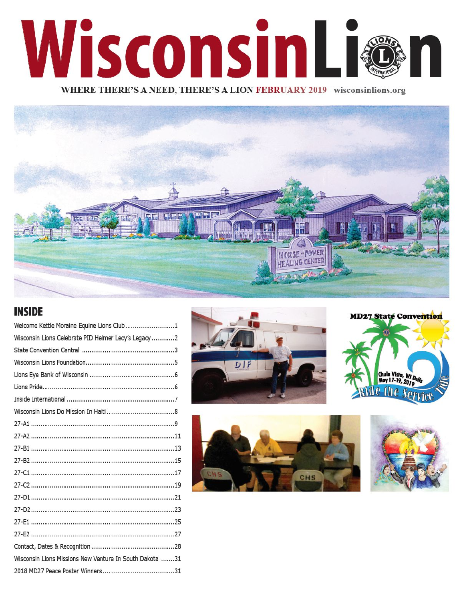# WisconsinL WHERE THERE'S A NEED, THERE'S A LION FEBRUARY 2019 wisconsinlions.org



#### **INSIDE**

| Welcome Kettle Moraine Equine Lions Club1               |
|---------------------------------------------------------|
| Wisconsin Lions Celebrate PID Helmer Lecy's Legacy 2    |
|                                                         |
|                                                         |
|                                                         |
|                                                         |
|                                                         |
|                                                         |
|                                                         |
|                                                         |
|                                                         |
|                                                         |
|                                                         |
|                                                         |
|                                                         |
|                                                         |
|                                                         |
|                                                         |
|                                                         |
| Wisconsin Lions Missions New Venture In South Dakota 31 |
|                                                         |







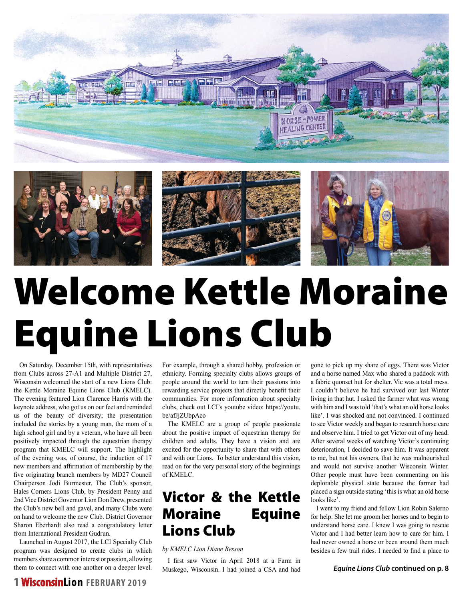



# Welcome Kettle Moraine Equine Lions Club

On Saturday, December 15th, with representatives from Clubs across 27-A1 and Multiple District 27, Wisconsin welcomed the start of a new Lions Club: the Kettle Moraine Equine Lions Club (KMELC). The evening featured Lion Clarence Harris with the keynote address, who got us on our feet and reminded us of the beauty of diversity; the presentation included the stories by a young man, the mom of a high school girl and by a veteran, who have all been positively impacted through the equestrian therapy program that KMELC will support. The highlight of the evening was, of course, the induction of 17 new members and affirmation of membership by the five originating branch members by MD27 Council Chairperson Jodi Burmester. The Club's sponsor, Hales Corners Lions Club, by President Penny and 2nd Vice District Governor Lion Don Drew, presented the Club's new bell and gavel, and many Clubs were on hand to welcome the new Club. District Governor Sharon Eberhardt also read a congratulatory letter from International President Gudrun.

Launched in August 2017, the LCI Specialty Club program was designed to create clubs in which members share a common interest or passion, allowing them to connect with one another on a deeper level.

For example, through a shared hobby, profession or ethnicity. Forming specialty clubs allows groups of people around the world to turn their passions into rewarding service projects that directly benefit their communities. For more information about specialty clubs, check out LCI's youtube video: https://youtu. be/afJjZUbpAco

The KMELC are a group of people passionate about the positive impact of equestrian therapy for children and adults. They have a vision and are excited for the opportunity to share that with others and with our Lions. To better understand this vision, read on for the very personal story of the beginnings of KMELC.

### Victor & the Kettle Moraine Equine Lions Club

*by KMELC Lion Diane Besson*

I first saw Victor in April 2018 at a Farm in Muskego, Wisconsin. I had joined a CSA and had

gone to pick up my share of eggs. There was Victor and a horse named Max who shared a paddock with a fabric quonset hut for shelter. Vic was a total mess. I couldn't believe he had survived our last Winter living in that hut. I asked the farmer what was wrong with him and I was told 'that's what an old horse looks like'. I was shocked and not convinced. I continued to see Victor weekly and began to research horse care and observe him. I tried to get Victor out of my head. After several weeks of watching Victor's continuing deterioration, I decided to save him. It was apparent to me, but not his owners, that he was malnourished and would not survive another Wisconsin Winter. Other people must have been commenting on his deplorable physical state because the farmer had placed a sign outside stating 'this is what an old horse looks like'.

I went to my friend and fellow Lion Robin Salerno for help. She let me groom her horses and to begin to understand horse care. I knew I was going to rescue Victor and I had better learn how to care for him. I had never owned a horse or been around them much besides a few trail rides. I needed to find a place to

*Equine Lions Club* **continued on p. 8**